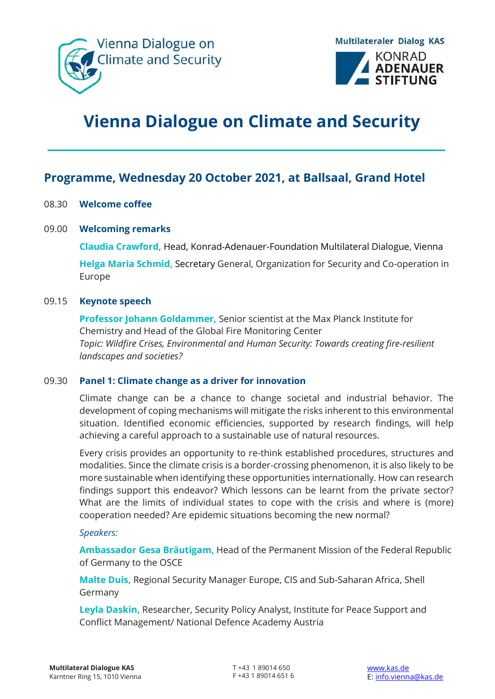



# **Vienna Dialogue on Climate and Security**

# **Programme, Wednesday 20 October 2021, at Ballsaal, Grand Hotel**

# 08.30 **Welcome coffee**

# 09.00 **Welcoming remarks**

**Claudia Crawford,** Head, Konrad-Adenauer-Foundation Multilateral Dialogue, Vienna

**Helga Maria Schmid,** Secretary General, Organization for Security and Co-operation in Europe

#### 09.15 **Keynote speech**

**Professor Johann Goldammer,** Senior scientist at the Max Planck Institute for Chemistry and Head of the Global Fire Monitoring Center *Topic: Wildfire Crises, Environmental and Human Security: Towards creating fire-resilient landscapes and societies?*

#### 09.30 **Panel 1: Climate change as a driver for innovation**

Climate change can be a chance to change societal and industrial behavior. The development of coping mechanisms will mitigate the risks inherent to this environmental situation. Identified economic efficiencies, supported by research findings, will help achieving a careful approach to a sustainable use of natural resources.

Every crisis provides an opportunity to re-think established procedures, structures and modalities. Since the climate crisis is a border-crossing phenomenon, it is also likely to be more sustainable when identifying these opportunities internationally. How can research findings support this endeavor? Which lessons can be learnt from the private sector? What are the limits of individual states to cope with the crisis and where is (more) cooperation needed? Are epidemic situations becoming the new normal?

#### *Speakers:*

**Ambassador Gesa Bräutigam,** Head of the Permanent Mission of the Federal Republic of Germany to the OSCE

**Malte Duis,** Regional Security Manager Europe, CIS and Sub-Saharan Africa, Shell Germany

**Leyla Daskin,** Researcher, Security Policy Analyst, Institute for Peace Support and Conflict Management/ National Defence Academy Austria